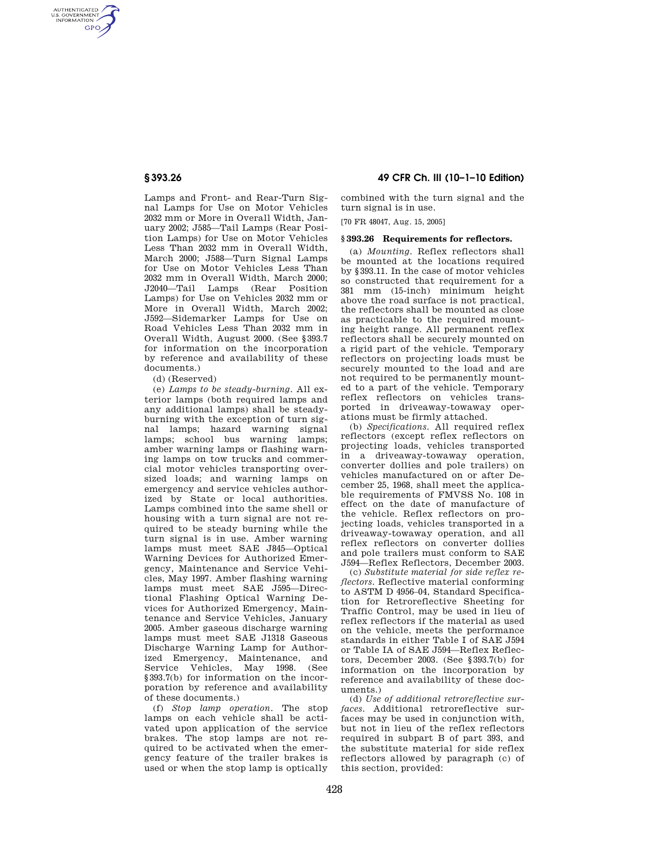AUTHENTICATED<br>U.S. GOVERNMENT<br>INFORMATION **GPO** 

> Lamps and Front- and Rear-Turn Signal Lamps for Use on Motor Vehicles 2032 mm or More in Overall Width, January 2002; J585—Tail Lamps (Rear Position Lamps) for Use on Motor Vehicles Less Than 2032 mm in Overall Width, March 2000; J588—Turn Signal Lamps for Use on Motor Vehicles Less Than 2032 mm in Overall Width, March 2000; J2040—Tail Lamps (Rear Position Lamps) for Use on Vehicles 2032 mm or More in Overall Width, March 2002; J592—Sidemarker Lamps for Use on Road Vehicles Less Than 2032 mm in Overall Width, August 2000. (See §393.7 for information on the incorporation by reference and availability of these documents.)

(d) (Reserved)

(e) *Lamps to be steady-burning.* All exterior lamps (both required lamps and any additional lamps) shall be steadyburning with the exception of turn signal lamps; hazard warning signal lamps; school bus warning lamps; amber warning lamps or flashing warning lamps on tow trucks and commercial motor vehicles transporting oversized loads; and warning lamps on emergency and service vehicles authorized by State or local authorities. Lamps combined into the same shell or housing with a turn signal are not required to be steady burning while the turn signal is in use. Amber warning lamps must meet SAE J845—Optical Warning Devices for Authorized Emergency, Maintenance and Service Vehicles, May 1997. Amber flashing warning lamps must meet SAE J595—Directional Flashing Optical Warning Devices for Authorized Emergency, Maintenance and Service Vehicles, January 2005. Amber gaseous discharge warning lamps must meet SAE J1318 Gaseous Discharge Warning Lamp for Authorized Emergency, Maintenance, and Service Vehicles, May 1998. (See §393.7(b) for information on the incorporation by reference and availability of these documents.)

(f) *Stop lamp operation.* The stop lamps on each vehicle shall be activated upon application of the service brakes. The stop lamps are not required to be activated when the emergency feature of the trailer brakes is used or when the stop lamp is optically

**§ 393.26 49 CFR Ch. III (10–1–10 Edition)** 

combined with the turn signal and the turn signal is in use.

[70 FR 48047, Aug. 15, 2005]

## **§ 393.26 Requirements for reflectors.**

(a) *Mounting.* Reflex reflectors shall be mounted at the locations required by §393.11. In the case of motor vehicles so constructed that requirement for a 381 mm (15-inch) minimum height above the road surface is not practical, the reflectors shall be mounted as close as practicable to the required mounting height range. All permanent reflex reflectors shall be securely mounted on a rigid part of the vehicle. Temporary reflectors on projecting loads must be securely mounted to the load and are not required to be permanently mounted to a part of the vehicle. Temporary reflex reflectors on vehicles transported in driveaway-towaway operations must be firmly attached.

(b) *Specifications.* All required reflex reflectors (except reflex reflectors on projecting loads, vehicles transported in a driveaway-towaway operation, converter dollies and pole trailers) on vehicles manufactured on or after December 25, 1968, shall meet the applicable requirements of FMVSS No. 108 in effect on the date of manufacture of the vehicle. Reflex reflectors on projecting loads, vehicles transported in a driveaway-towaway operation, and all reflex reflectors on converter dollies and pole trailers must conform to SAE J594—Reflex Reflectors, December 2003.

(c) *Substitute material for side reflex reflectors.* Reflective material conforming to ASTM D 4956–04, Standard Specification for Retroreflective Sheeting for Traffic Control, may be used in lieu of reflex reflectors if the material as used on the vehicle, meets the performance standards in either Table I of SAE J594 or Table IA of SAE J594—Reflex Reflectors, December 2003. (See §393.7(b) for information on the incorporation by reference and availability of these documents.)

(d) *Use of additional retroreflective surfaces.* Additional retroreflective surfaces may be used in conjunction with. but not in lieu of the reflex reflectors required in subpart B of part 393, and the substitute material for side reflex reflectors allowed by paragraph (c) of this section, provided: